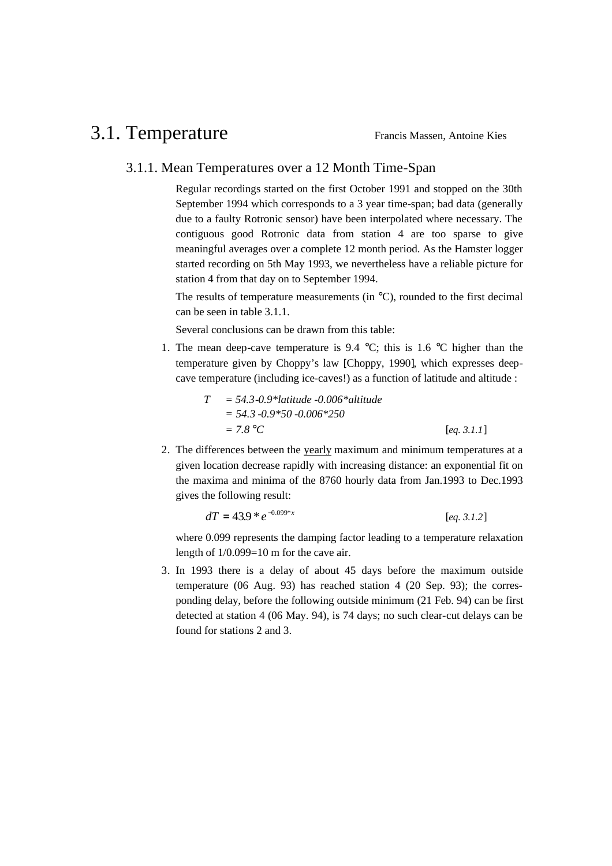## 3.1. Temperature Francis Massen, Antoine Kies

## 3.1.1. Mean Temperatures over a 12 Month Time-Span

Regular recordings started on the first October 1991 and stopped on the 30th September 1994 which corresponds to a 3 year time-span; bad data (generally due to a faulty Rotronic sensor) have been interpolated where necessary. The contiguous good Rotronic data from station 4 are too sparse to give meaningful averages over a complete 12 month period. As the Hamster logger started recording on 5th May 1993, we nevertheless have a reliable picture for station 4 from that day on to September 1994.

The results of temperature measurements (in °C), rounded to the first decimal can be seen in table 3.1.1.

Several conclusions can be drawn from this table:

1. The mean deep-cave temperature is 9.4  $\degree$ C; this is 1.6  $\degree$ C higher than the temperature given by Choppy's law [Choppy, 1990], which expresses deepcave temperature (including ice-caves!) as a function of latitude and altitude :

$$
T = 54.3 \cdot 0.9 \cdot \text{latitude} - 0.006 \cdot \text{litude}
$$
  
= 54.3 \cdot 0.9 \cdot 50 \cdot 0.006 \cdot 250  
= 7.8 \text{°C} \qquad \text{[eq. 3.1.1]}

2. The differences between the yearly maximum and minimum temperatures at a given location decrease rapidly with increasing distance: an exponential fit on the maxima and minima of the 8760 hourly data from Jan.1993 to Dec.1993 gives the following result:

$$
dT = 43.9 \cdot e^{-0.099 \cdot x} \qquad [eq. 3.1.2]
$$

where 0.099 represents the damping factor leading to a temperature relaxation length of  $1/0.099=10$  m for the cave air.

3. In 1993 there is a delay of about 45 days before the maximum outside temperature (06 Aug. 93) has reached station 4 (20 Sep. 93); the corresponding delay, before the following outside minimum (21 Feb. 94) can be first detected at station 4 (06 May. 94), is 74 days; no such clear-cut delays can be found for stations 2 and 3.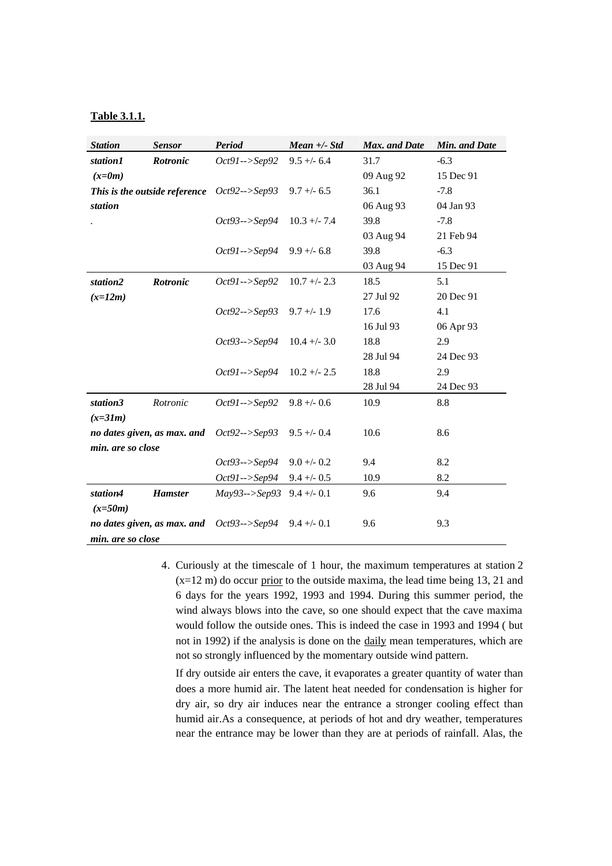## **Table 3.1.1.**

| <b>Station</b>    | <b>Sensor</b>               | <b>Period</b>                                | $Mean +\textit{-} Std$ | Max. and Date | Min. and Date |
|-------------------|-----------------------------|----------------------------------------------|------------------------|---------------|---------------|
| station1          | Rotronic                    | $Oct91--Sep92$                               | $9.5 + - 6.4$          | 31.7          | $-6.3$        |
| $(x=0m)$          |                             |                                              |                        | 09 Aug 92     | 15 Dec 91     |
|                   |                             | This is the outside reference $Oct92--Sep93$ | $9.7 + - 6.5$          | 36.1          | $-7.8$        |
| station           |                             |                                              |                        | 06 Aug 93     | 04 Jan 93     |
|                   |                             | $Oct93--Sep94$                               | $10.3 + -7.4$          | 39.8          | $-7.8$        |
|                   |                             |                                              |                        | 03 Aug 94     | 21 Feb 94     |
|                   |                             | $Oct91--Sep94$                               | $9.9 + - 6.8$          | 39.8          | $-6.3$        |
|                   |                             |                                              |                        | 03 Aug 94     | 15 Dec 91     |
| station2          | <b>Rotronic</b>             | $Oct91--Sep92$                               | $10.7 + - 2.3$         | 18.5          | 5.1           |
| $(x=12m)$         |                             |                                              |                        | 27 Jul 92     | 20 Dec 91     |
|                   |                             | $Oct92--Sep93$                               | $9.7 +/- 1.9$          | 17.6          | 4.1           |
|                   |                             |                                              |                        | 16 Jul 93     | 06 Apr 93     |
|                   |                             | $Oct93--Sep94$                               | $10.4 + - 3.0$         | 18.8          | 2.9           |
|                   |                             |                                              |                        | 28 Jul 94     | 24 Dec 93     |
|                   |                             | $Oct91--Sep94$                               | $10.2 + - 2.5$         | 18.8          | 2.9           |
|                   |                             |                                              |                        | 28 Jul 94     | 24 Dec 93     |
| station3          | Rotronic                    | $Oct91 \rightarrow Sep92$                    | $9.8 + - 0.6$          | 10.9          | 8.8           |
| $(x=31m)$         |                             |                                              |                        |               |               |
|                   | no dates given, as max. and | $Oct92--Sep93$                               | $9.5 + - 0.4$          | 10.6          | 8.6           |
| min. are so close |                             |                                              |                        |               |               |
|                   |                             | $Oct93--Sep94$                               | $9.0 +/- 0.2$          | 9.4           | 8.2           |
|                   |                             | <i>Oct91--&gt;Sep94</i>                      | $9.4 + - 0.5$          | 10.9          | 8.2           |
| station4          | <b>Hamster</b>              | $May93--Sep93$ 9.4 +/- 0.1                   |                        | 9.6           | 9.4           |
| $(x=50m)$         |                             |                                              |                        |               |               |
|                   | no dates given, as max. and | $Oct93--Sep94$                               | $9.4 +/- 0.1$          | 9.6           | 9.3           |
| min. are so close |                             |                                              |                        |               |               |

4. Curiously at the timescale of 1 hour, the maximum temperatures at station 2 (x=12 m) do occur prior to the outside maxima, the lead time being 13, 21 and 6 days for the years 1992, 1993 and 1994. During this summer period, the wind always blows into the cave, so one should expect that the cave maxima would follow the outside ones. This is indeed the case in 1993 and 1994 ( but not in 1992) if the analysis is done on the daily mean temperatures, which are not so strongly influenced by the momentary outside wind pattern.

If dry outside air enters the cave, it evaporates a greater quantity of water than does a more humid air. The latent heat needed for condensation is higher for dry air, so dry air induces near the entrance a stronger cooling effect than humid air.As a consequence, at periods of hot and dry weather, temperatures near the entrance may be lower than they are at periods of rainfall. Alas, the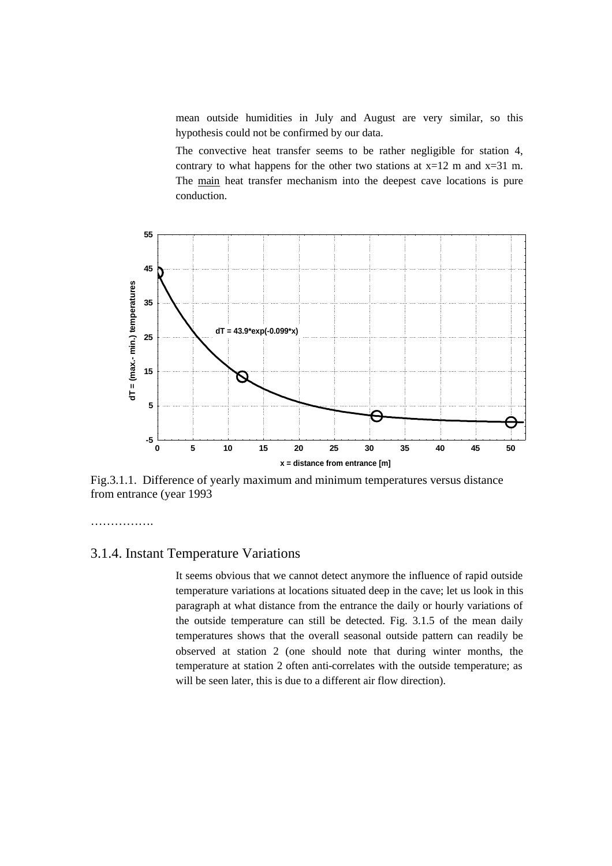mean outside humidities in July and August are very similar, so this hypothesis could not be confirmed by our data.

The convective heat transfer seems to be rather negligible for station 4, contrary to what happens for the other two stations at  $x=12$  m and  $x=31$  m. The main heat transfer mechanism into the deepest cave locations is pure conduction.



Fig.3.1.1. Difference of yearly maximum and minimum temperatures versus distance from entrance (year 1993

……………………

## 3.1.4. Instant Temperature Variations

It seems obvious that we cannot detect anymore the influence of rapid outside temperature variations at locations situated deep in the cave; let us look in this paragraph at what distance from the entrance the daily or hourly variations of the outside temperature can still be detected. Fig. 3.1.5 of the mean daily temperatures shows that the overall seasonal outside pattern can readily be observed at station 2 (one should note that during winter months, the temperature at station 2 often anti-correlates with the outside temperature; as will be seen later, this is due to a different air flow direction).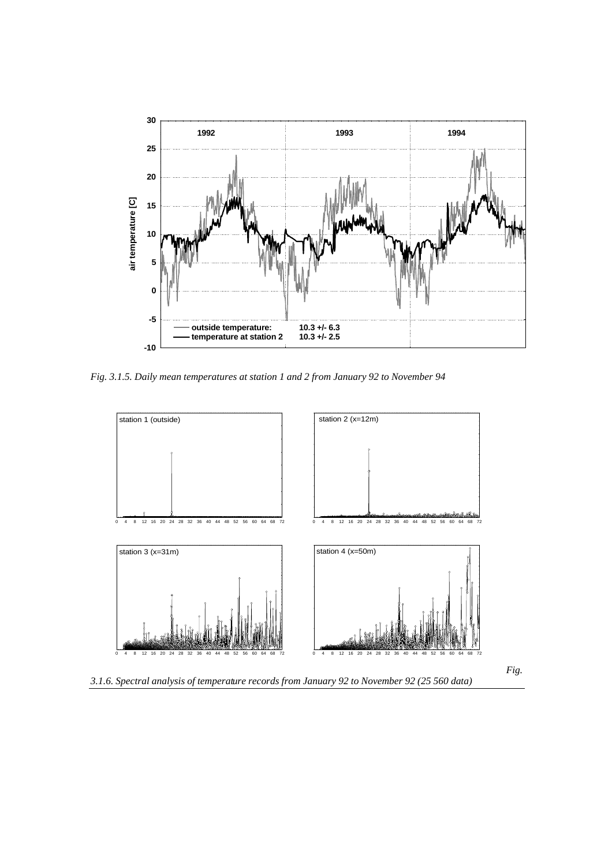

*Fig. 3.1.5. Daily mean temperatures at station 1 and 2 from January 92 to November 94* 

![](_page_3_Figure_2.jpeg)

*3.1.6. Spectral analysis of temperature records from January 92 to November 92 (25 560 data)*